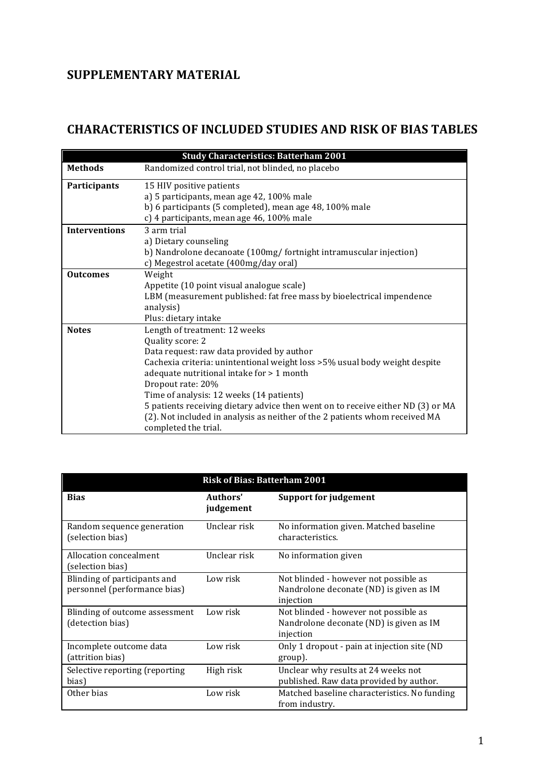## **SUPPLEMENTARY MATERIAL**

## **CHARACTERISTICS OF INCLUDED STUDIES AND RISK OF BIAS TABLES**

|                                                                                 | <b>Study Characteristics: Batterham 2001</b>                                |  |  |
|---------------------------------------------------------------------------------|-----------------------------------------------------------------------------|--|--|
| <b>Methods</b>                                                                  | Randomized control trial, not blinded, no placebo                           |  |  |
| <b>Participants</b>                                                             | 15 HIV positive patients                                                    |  |  |
|                                                                                 | a) 5 participants, mean age 42, 100% male                                   |  |  |
|                                                                                 | b) 6 participants (5 completed), mean age 48, 100% male                     |  |  |
|                                                                                 | c) 4 participants, mean age 46, 100% male                                   |  |  |
| <b>Interventions</b>                                                            | 3 arm trial                                                                 |  |  |
|                                                                                 | a) Dietary counseling                                                       |  |  |
|                                                                                 | b) Nandrolone decanoate (100mg/ fortnight intramuscular injection)          |  |  |
|                                                                                 | c) Megestrol acetate (400mg/day oral)                                       |  |  |
| <b>Outcomes</b>                                                                 | Weight                                                                      |  |  |
|                                                                                 | Appetite (10 point visual analogue scale)                                   |  |  |
|                                                                                 | LBM (measurement published: fat free mass by bioelectrical impendence       |  |  |
|                                                                                 | analysis)                                                                   |  |  |
|                                                                                 | Plus: dietary intake                                                        |  |  |
| <b>Notes</b><br>Length of treatment: 12 weeks                                   |                                                                             |  |  |
|                                                                                 | Quality score: 2                                                            |  |  |
|                                                                                 | Data request: raw data provided by author                                   |  |  |
|                                                                                 | Cachexia criteria: unintentional weight loss > 5% usual body weight despite |  |  |
|                                                                                 | adequate nutritional intake for > 1 month                                   |  |  |
|                                                                                 | Dropout rate: 20%                                                           |  |  |
|                                                                                 | Time of analysis: 12 weeks (14 patients)                                    |  |  |
| 5 patients receiving dietary advice then went on to receive either ND (3) or MA |                                                                             |  |  |
|                                                                                 | (2). Not included in analysis as neither of the 2 patients whom received MA |  |  |
|                                                                                 | completed the trial.                                                        |  |  |

| <b>Risk of Bias: Batterham 2001</b>                          |                       |                                                                                               |  |
|--------------------------------------------------------------|-----------------------|-----------------------------------------------------------------------------------------------|--|
| <b>Bias</b>                                                  | Authors'<br>judgement | Support for judgement                                                                         |  |
| Random sequence generation<br>(selection bias)               | Unclear risk          | No information given. Matched baseline<br>characteristics.                                    |  |
| Allocation concealment<br>(selection bias)                   | Unclear risk          | No information given                                                                          |  |
| Blinding of participants and<br>personnel (performance bias) | Low risk              | Not blinded - however not possible as<br>Nandrolone deconate (ND) is given as IM<br>injection |  |
| Blinding of outcome assessment<br>(detection bias)           | Low risk              | Not blinded - however not possible as<br>Nandrolone deconate (ND) is given as IM<br>injection |  |
| Incomplete outcome data<br>(attrition bias)                  | Low risk              | Only 1 dropout - pain at injection site (ND)<br>group).                                       |  |
| Selective reporting (reporting<br>bias)                      | High risk             | Unclear why results at 24 weeks not<br>published. Raw data provided by author.                |  |
| Other bias                                                   | Low risk              | Matched baseline characteristics. No funding<br>from industry.                                |  |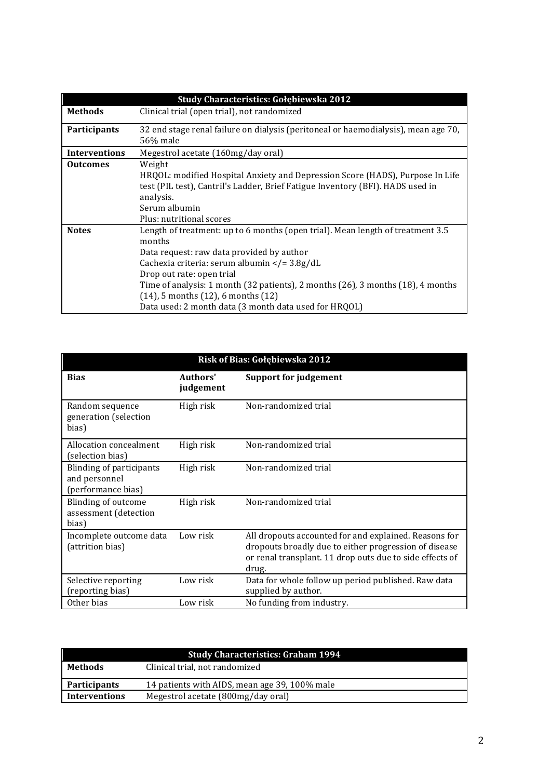|                 | Study Characteristics: Gołębiewska 2012                                                                                                                                                                                                                                                                                                                                                                    |  |  |
|-----------------|------------------------------------------------------------------------------------------------------------------------------------------------------------------------------------------------------------------------------------------------------------------------------------------------------------------------------------------------------------------------------------------------------------|--|--|
| <b>Methods</b>  | Clinical trial (open trial), not randomized                                                                                                                                                                                                                                                                                                                                                                |  |  |
| Participants    | 32 end stage renal failure on dialysis (peritoneal or haemodialysis), mean age 70,<br>56% male                                                                                                                                                                                                                                                                                                             |  |  |
| Interventions   | Megestrol acetate (160mg/day oral)                                                                                                                                                                                                                                                                                                                                                                         |  |  |
| <b>Outcomes</b> | Weight<br>HRQOL: modified Hospital Anxiety and Depression Score (HADS), Purpose In Life<br>test (PIL test), Cantril's Ladder, Brief Fatigue Inventory (BFI). HADS used in<br>analysis.<br>Serum albumin<br>Plus: nutritional scores                                                                                                                                                                        |  |  |
| <b>Notes</b>    | Length of treatment: up to 6 months (open trial). Mean length of treatment 3.5<br>months<br>Data request: raw data provided by author<br>Cachexia criteria: serum albumin = 3.8g/dL<br Drop out rate: open trial<br>Time of analysis: 1 month (32 patients), 2 months (26), 3 months (18), 4 months<br>$(14)$ , 5 months $(12)$ , 6 months $(12)$<br>Data used: 2 month data (3 month data used for HRQOL) |  |  |

| Risk of Bias: Gołębiewska 2012                                  |                       |                                                                                                                                                                                     |  |
|-----------------------------------------------------------------|-----------------------|-------------------------------------------------------------------------------------------------------------------------------------------------------------------------------------|--|
| <b>Bias</b>                                                     | Authors'<br>judgement | <b>Support for judgement</b>                                                                                                                                                        |  |
| Random sequence<br>generation (selection<br>bias)               | High risk             | Non-randomized trial                                                                                                                                                                |  |
| Allocation concealment<br>(selection bias)                      | High risk             | Non-randomized trial                                                                                                                                                                |  |
| Blinding of participants<br>and personnel<br>(performance bias) | High risk             | Non-randomized trial                                                                                                                                                                |  |
| Blinding of outcome<br>assessment (detection<br>bias)           | High risk             | Non-randomized trial                                                                                                                                                                |  |
| Incomplete outcome data<br>(attrition bias)                     | Low risk              | All dropouts accounted for and explained. Reasons for<br>dropouts broadly due to either progression of disease<br>or renal transplant. 11 drop outs due to side effects of<br>drug. |  |
| Selective reporting<br>(reporting bias)                         | Low risk              | Data for whole follow up period published. Raw data<br>supplied by author.                                                                                                          |  |
| Other bias                                                      | Low risk              | No funding from industry.                                                                                                                                                           |  |

| <b>Study Characteristics: Graham 1994</b> |                                               |  |
|-------------------------------------------|-----------------------------------------------|--|
| Methods                                   | Clinical trial, not randomized                |  |
| <b>Participants</b>                       | 14 patients with AIDS, mean age 39, 100% male |  |
| Interventions                             | Megestrol acetate (800mg/day oral)            |  |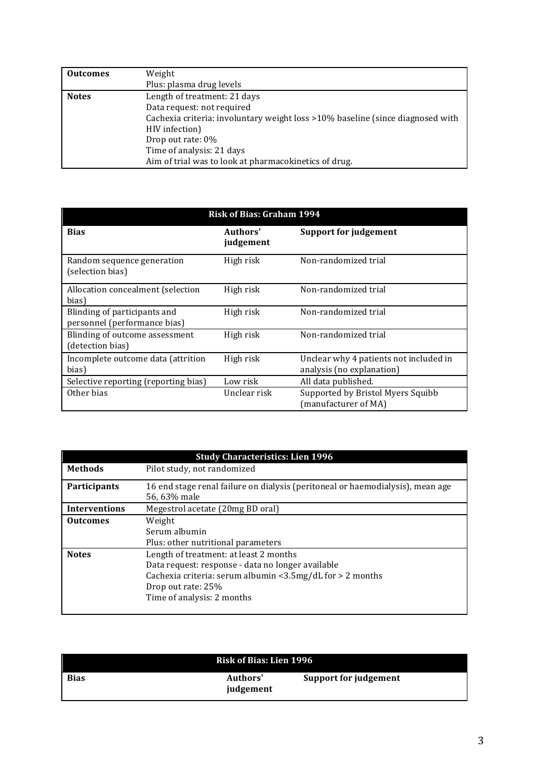| <b>Outcomes</b> | Weight                                                                         |  |
|-----------------|--------------------------------------------------------------------------------|--|
|                 | Plus: plasma drug levels                                                       |  |
| <b>Notes</b>    | Length of treatment: 21 days                                                   |  |
|                 | Data request: not required                                                     |  |
|                 | Cachexia criteria: involuntary weight loss >10% baseline (since diagnosed with |  |
|                 | HIV infection)                                                                 |  |
|                 | Drop out rate: 0%                                                              |  |
|                 | Time of analysis: 21 days                                                      |  |
|                 | Aim of trial was to look at pharmacokinetics of drug.                          |  |

| <b>Risk of Bias: Graham 1994</b>                             |                       |                                                                     |  |
|--------------------------------------------------------------|-----------------------|---------------------------------------------------------------------|--|
| <b>Bias</b>                                                  | Authors'<br>judgement | <b>Support for judgement</b>                                        |  |
| Random sequence generation<br>(selection bias)               | High risk             | Non-randomized trial                                                |  |
| Allocation concealment (selection<br>bias)                   | High risk             | Non-randomized trial                                                |  |
| Blinding of participants and<br>personnel (performance bias) | High risk             | Non-randomized trial                                                |  |
| Blinding of outcome assessment<br>(detection bias)           | High risk             | Non-randomized trial                                                |  |
| Incomplete outcome data (attrition<br>bias)                  | High risk             | Unclear why 4 patients not included in<br>analysis (no explanation) |  |
| Selective reporting (reporting bias)                         | Low risk              | All data published.                                                 |  |
| Other bias                                                   | Unclear risk          | Supported by Bristol Myers Squibb<br>(manufacturer of MA)           |  |

|                     | <b>Study Characteristics: Lien 1996</b>                                                                                                                                                                          |  |
|---------------------|------------------------------------------------------------------------------------------------------------------------------------------------------------------------------------------------------------------|--|
| <b>Methods</b>      | Pilot study, not randomized                                                                                                                                                                                      |  |
| <b>Participants</b> | 16 end stage renal failure on dialysis (peritoneal or haemodialysis), mean age<br>56, 63% male                                                                                                                   |  |
| Interventions       | Megestrol acetate (20mg BD oral)                                                                                                                                                                                 |  |
| <b>Outcomes</b>     | Weight<br>Serum albumin<br>Plus: other nutritional parameters                                                                                                                                                    |  |
| <b>Notes</b>        | Length of treatment: at least 2 months<br>Data request: response - data no longer available<br>Cachexia criteria: serum albumin < $3.5$ mg/dL for > 2 months<br>Drop out rate: 25%<br>Time of analysis: 2 months |  |

| <b>Risk of Bias: Lien 1996</b> |                       |                       |  |
|--------------------------------|-----------------------|-----------------------|--|
| <b>Bias</b>                    | Authors'<br>judgement | Support for judgement |  |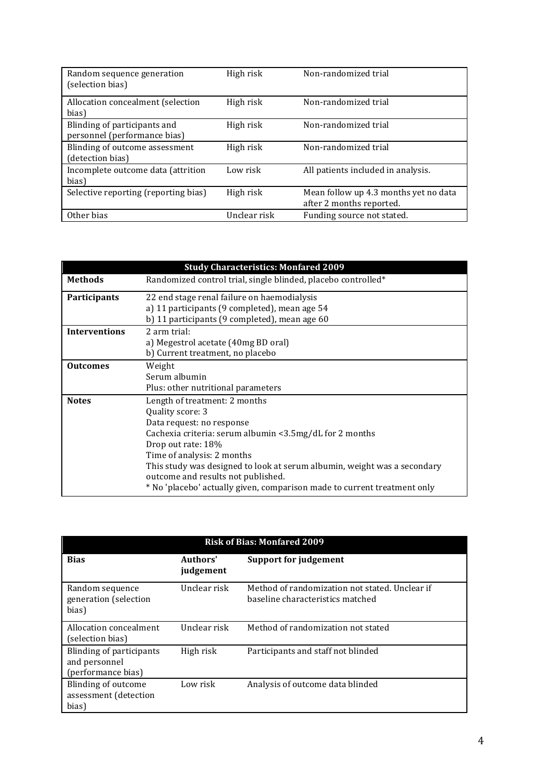| Random sequence generation<br>(selection bias)               | High risk    | Non-randomized trial                                              |
|--------------------------------------------------------------|--------------|-------------------------------------------------------------------|
| Allocation concealment (selection<br>bias)                   | High risk    | Non-randomized trial                                              |
| Blinding of participants and<br>personnel (performance bias) | High risk    | Non-randomized trial                                              |
| Blinding of outcome assessment<br>(detection bias)           | High risk    | Non-randomized trial                                              |
| Incomplete outcome data (attrition<br>bias)                  | Low risk     | All patients included in analysis.                                |
| Selective reporting (reporting bias)                         | High risk    | Mean follow up 4.3 months yet no data<br>after 2 months reported. |
| Other bias                                                   | Unclear risk | Funding source not stated.                                        |

|                      | <b>Study Characteristics: Monfared 2009</b>                                                                                                                                                                                                                                                                                                                                                 |  |  |
|----------------------|---------------------------------------------------------------------------------------------------------------------------------------------------------------------------------------------------------------------------------------------------------------------------------------------------------------------------------------------------------------------------------------------|--|--|
| <b>Methods</b>       | Randomized control trial, single blinded, placebo controlled*                                                                                                                                                                                                                                                                                                                               |  |  |
| <b>Participants</b>  | 22 end stage renal failure on haemodialysis                                                                                                                                                                                                                                                                                                                                                 |  |  |
|                      | a) 11 participants (9 completed), mean age 54<br>b) 11 participants (9 completed), mean age 60                                                                                                                                                                                                                                                                                              |  |  |
| <b>Interventions</b> | 2 arm trial:<br>a) Megestrol acetate (40mg BD oral)                                                                                                                                                                                                                                                                                                                                         |  |  |
| <b>Outcomes</b>      | b) Current treatment, no placebo<br>Weight                                                                                                                                                                                                                                                                                                                                                  |  |  |
|                      | Serum albumin<br>Plus: other nutritional parameters                                                                                                                                                                                                                                                                                                                                         |  |  |
| <b>Notes</b>         | Length of treatment: 2 months<br>Quality score: 3<br>Data request: no response<br>Cachexia criteria: serum albumin <3.5mg/dL for 2 months<br>Drop out rate: 18%<br>Time of analysis: 2 months<br>This study was designed to look at serum albumin, weight was a secondary<br>outcome and results not published.<br>* No 'placebo' actually given, comparison made to current treatment only |  |  |

| <b>Risk of Bias: Monfared 2009</b>                              |                       |                                                                                    |  |
|-----------------------------------------------------------------|-----------------------|------------------------------------------------------------------------------------|--|
| <b>Bias</b>                                                     | Authors'<br>judgement | Support for judgement                                                              |  |
| Random sequence<br>generation (selection<br>bias)               | Unclear risk          | Method of randomization not stated. Unclear if<br>baseline characteristics matched |  |
| Allocation concealment<br>(selection bias)                      | Unclear risk-         | Method of randomization not stated                                                 |  |
| Blinding of participants<br>and personnel<br>(performance bias) | High risk             | Participants and staff not blinded                                                 |  |
| Blinding of outcome<br>assessment (detection<br>bias)           | Low risk              | Analysis of outcome data blinded                                                   |  |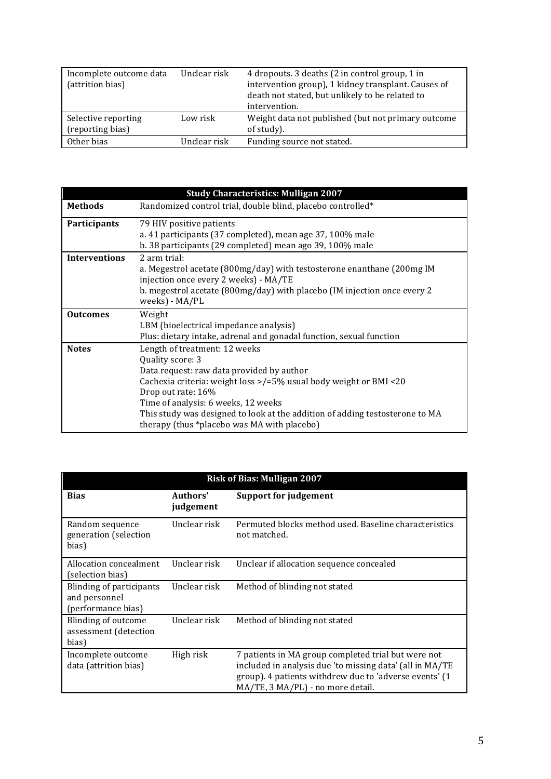| Incomplete outcome data<br>(attrition bias) | Unclear risk | 4 dropouts. 3 deaths (2 in control group, 1 in<br>intervention group), 1 kidney transplant. Causes of<br>death not stated, but unlikely to be related to<br>intervention. |
|---------------------------------------------|--------------|---------------------------------------------------------------------------------------------------------------------------------------------------------------------------|
| Selective reporting<br>(reporting bias)     | Low risk     | Weight data not published (but not primary outcome<br>of study).                                                                                                          |
| Other bias                                  | Unclear risk | Funding source not stated.                                                                                                                                                |

|                      | <b>Study Characteristics: Mulligan 2007</b>                                                                                                                                                                                                                                                                                                                     |
|----------------------|-----------------------------------------------------------------------------------------------------------------------------------------------------------------------------------------------------------------------------------------------------------------------------------------------------------------------------------------------------------------|
| <b>Methods</b>       | Randomized control trial, double blind, placebo controlled*                                                                                                                                                                                                                                                                                                     |
| Participants         | 79 HIV positive patients<br>a. 41 participants (37 completed), mean age 37, 100% male                                                                                                                                                                                                                                                                           |
|                      | b. 38 participants (29 completed) mean ago 39, 100% male                                                                                                                                                                                                                                                                                                        |
| <b>Interventions</b> | 2 arm trial:<br>a. Megestrol acetate (800mg/day) with testosterone enanthane (200mg IM<br>injection once every 2 weeks) - MA/TE<br>b. megestrol acetate (800mg/day) with placebo (IM injection once every 2<br>weeks) - MA/PL                                                                                                                                   |
| <b>Outcomes</b>      | Weight<br>LBM (bioelectrical impedance analysis)<br>Plus: dietary intake, adrenal and gonadal function, sexual function                                                                                                                                                                                                                                         |
| <b>Notes</b>         | Length of treatment: 12 weeks<br>Quality score: 3<br>Data request: raw data provided by author<br>Cachexia criteria: weight loss >/=5% usual body weight or BMI <20<br>Drop out rate: 16%<br>Time of analysis: 6 weeks, 12 weeks<br>This study was designed to look at the addition of adding testosterone to MA<br>therapy (thus *placebo was MA with placebo) |

| <b>Risk of Bias: Mulligan 2007</b>                              |                       |                                                                                                                                                                                                                |  |
|-----------------------------------------------------------------|-----------------------|----------------------------------------------------------------------------------------------------------------------------------------------------------------------------------------------------------------|--|
| <b>Bias</b>                                                     | Authors'<br>judgement | Support for judgement                                                                                                                                                                                          |  |
| Random sequence<br>generation (selection<br>bias)               | Unclear risk          | Permuted blocks method used. Baseline characteristics<br>not matched.                                                                                                                                          |  |
| Allocation concealment<br>(selection bias)                      | Unclear risk          | Unclear if allocation sequence concealed                                                                                                                                                                       |  |
| Blinding of participants<br>and personnel<br>(performance bias) | Unclear risk          | Method of blinding not stated                                                                                                                                                                                  |  |
| Blinding of outcome<br>assessment (detection<br>bias)           | Unclear risk          | Method of blinding not stated                                                                                                                                                                                  |  |
| Incomplete outcome<br>data (attrition bias)                     | High risk             | 7 patients in MA group completed trial but were not<br>included in analysis due 'to missing data' (all in MA/TE<br>group). 4 patients withdrew due to 'adverse events' (1<br>MA/TE, 3 MA/PL) - no more detail. |  |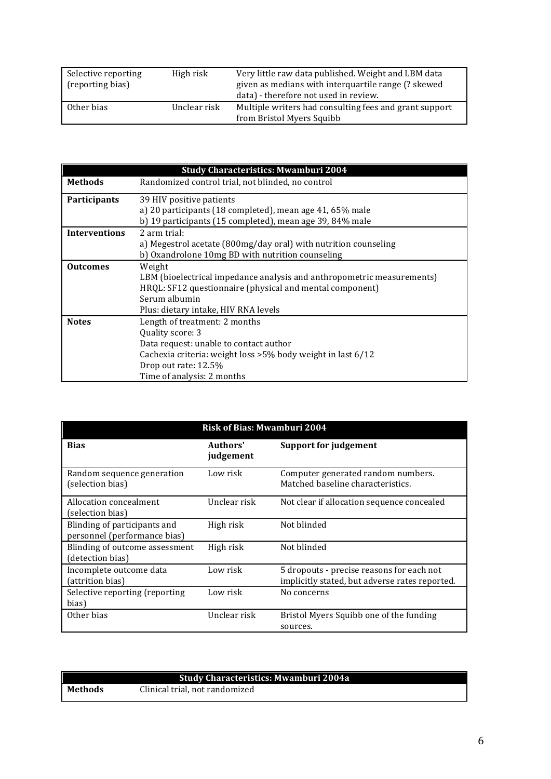| Selective reporting<br>(reporting bias) | High risk    | Very little raw data published. Weight and LBM data<br>given as medians with interquartile range (? skewed<br>data) - therefore not used in review. |  |
|-----------------------------------------|--------------|-----------------------------------------------------------------------------------------------------------------------------------------------------|--|
| Other bias                              | Unclear risk | Multiple writers had consulting fees and grant support<br>from Bristol Myers Squibb                                                                 |  |

|                      | <b>Study Characteristics: Mwamburi 2004</b>                            |  |  |
|----------------------|------------------------------------------------------------------------|--|--|
| <b>Methods</b>       | Randomized control trial, not blinded, no control                      |  |  |
| Participants         | 39 HIV positive patients                                               |  |  |
|                      | a) 20 participants (18 completed), mean age 41, 65% male               |  |  |
|                      | b) 19 participants (15 completed), mean age 39, 84% male               |  |  |
| <b>Interventions</b> | 2 arm trial:                                                           |  |  |
|                      | a) Megestrol acetate (800mg/day oral) with nutrition counseling        |  |  |
|                      | b) Oxandrolone 10mg BD with nutrition counseling                       |  |  |
| <b>Outcomes</b>      | Weight                                                                 |  |  |
|                      | LBM (bioelectrical impedance analysis and anthropometric measurements) |  |  |
|                      | HRQL: SF12 questionnaire (physical and mental component)               |  |  |
|                      | Serum albumin                                                          |  |  |
|                      | Plus: dietary intake, HIV RNA levels                                   |  |  |
| <b>Notes</b>         | Length of treatment: 2 months                                          |  |  |
|                      | Quality score: 3                                                       |  |  |
|                      | Data request: unable to contact author                                 |  |  |
|                      | Cachexia criteria: weight loss > 5% body weight in last 6/12           |  |  |
|                      | Drop out rate: 12.5%                                                   |  |  |
|                      | Time of analysis: 2 months                                             |  |  |

| <b>Risk of Bias: Mwamburi 2004</b>                           |                       |                                                                                             |  |
|--------------------------------------------------------------|-----------------------|---------------------------------------------------------------------------------------------|--|
| <b>Bias</b>                                                  | Authors'<br>judgement | Support for judgement                                                                       |  |
| Random sequence generation<br>(selection bias)               | Low risk              | Computer generated random numbers.<br>Matched baseline characteristics.                     |  |
| Allocation concealment<br>selection bias)                    | Unclear risk          | Not clear if allocation sequence concealed                                                  |  |
| Blinding of participants and<br>personnel (performance bias) | High risk             | Not blinded                                                                                 |  |
| Blinding of outcome assessment<br>(detection bias)           | High risk             | Not blinded                                                                                 |  |
| Incomplete outcome data<br>(attrition bias)                  | Low risk              | 5 dropouts - precise reasons for each not<br>implicitly stated, but adverse rates reported. |  |
| Selective reporting (reporting<br>bias)                      | Low risk              | No concerns                                                                                 |  |
| Other bias                                                   | Unclear risk          | Bristol Myers Squibb one of the funding<br>sources.                                         |  |

|         | <b>Study Characteristics: Mwamburi 2004a</b> |
|---------|----------------------------------------------|
| Methods | Clinical trial, not randomized               |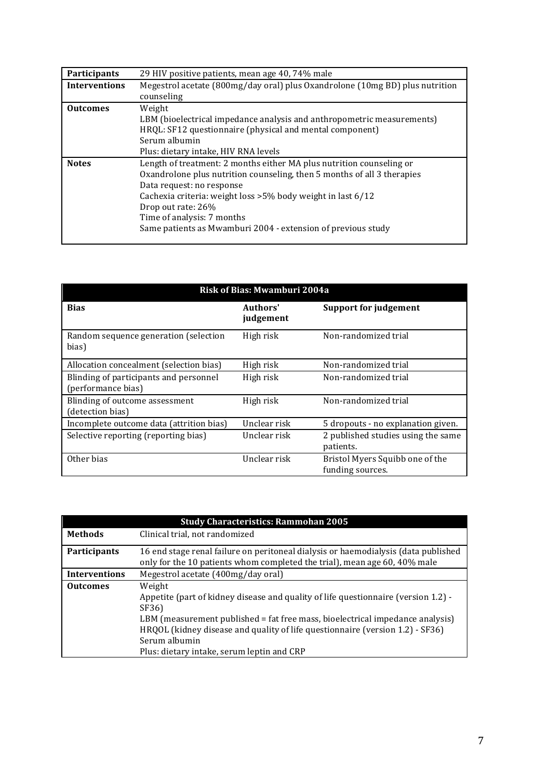| Participants         | 29 HIV positive patients, mean age 40, 74% male                              |  |  |  |
|----------------------|------------------------------------------------------------------------------|--|--|--|
| <b>Interventions</b> | Megestrol acetate (800mg/day oral) plus Oxandrolone (10mg BD) plus nutrition |  |  |  |
|                      | counseling                                                                   |  |  |  |
| <b>Outcomes</b>      | Weight                                                                       |  |  |  |
|                      | LBM (bioelectrical impedance analysis and anthropometric measurements)       |  |  |  |
|                      | HRQL: SF12 questionnaire (physical and mental component)                     |  |  |  |
|                      | Serum albumin                                                                |  |  |  |
|                      | Plus: dietary intake, HIV RNA levels                                         |  |  |  |
| <b>Notes</b>         | Length of treatment: 2 months either MA plus nutrition counseling or         |  |  |  |
|                      | Oxandrolone plus nutrition counseling, then 5 months of all 3 therapies      |  |  |  |
|                      | Data request: no response                                                    |  |  |  |
|                      | Cachexia criteria: weight loss > 5% body weight in last 6/12                 |  |  |  |
|                      | Drop out rate: 26%                                                           |  |  |  |
|                      | Time of analysis: 7 months                                                   |  |  |  |
|                      | Same patients as Mwamburi 2004 - extension of previous study                 |  |  |  |
|                      |                                                                              |  |  |  |

| <b>Risk of Bias: Mwamburi 2004a</b>                          |                       |                                                     |  |
|--------------------------------------------------------------|-----------------------|-----------------------------------------------------|--|
| <b>Bias</b>                                                  | Authors'<br>judgement | <b>Support for judgement</b>                        |  |
| Random sequence generation (selection<br>bias)               | High risk             | Non-randomized trial                                |  |
| Allocation concealment (selection bias)                      | High risk             | Non-randomized trial                                |  |
| Blinding of participants and personnel<br>(performance bias) | High risk             | Non-randomized trial                                |  |
| Blinding of outcome assessment<br>(detection bias)           | High risk             | Non-randomized trial                                |  |
| Incomplete outcome data (attrition bias)                     | Unclear risk          | 5 dropouts - no explanation given.                  |  |
| Selective reporting (reporting bias)                         | Unclear risk          | 2 published studies using the same<br>patients.     |  |
| Other bias                                                   | Unclear risk          | Bristol Myers Squibb one of the<br>funding sources. |  |

|                      | <b>Study Characteristics: Rammohan 2005</b>                                                                                                                                                                                                                                                                                              |
|----------------------|------------------------------------------------------------------------------------------------------------------------------------------------------------------------------------------------------------------------------------------------------------------------------------------------------------------------------------------|
| <b>Methods</b>       | Clinical trial, not randomized                                                                                                                                                                                                                                                                                                           |
| Participants         | 16 end stage renal failure on peritoneal dialysis or haemodialysis (data published<br>only for the 10 patients whom completed the trial), mean age 60, 40% male                                                                                                                                                                          |
| <b>Interventions</b> | Megestrol acetate (400mg/day oral)                                                                                                                                                                                                                                                                                                       |
| <b>Outcomes</b>      | Weight<br>Appetite (part of kidney disease and quality of life questionnaire (version 1.2) -<br>SF36)<br>LBM (measurement published $=$ fat free mass, bioelectrical impedance analysis)<br>HRQOL (kidney disease and quality of life questionnaire (version 1.2) - SF36)<br>Serum albumin<br>Plus: dietary intake, serum leptin and CRP |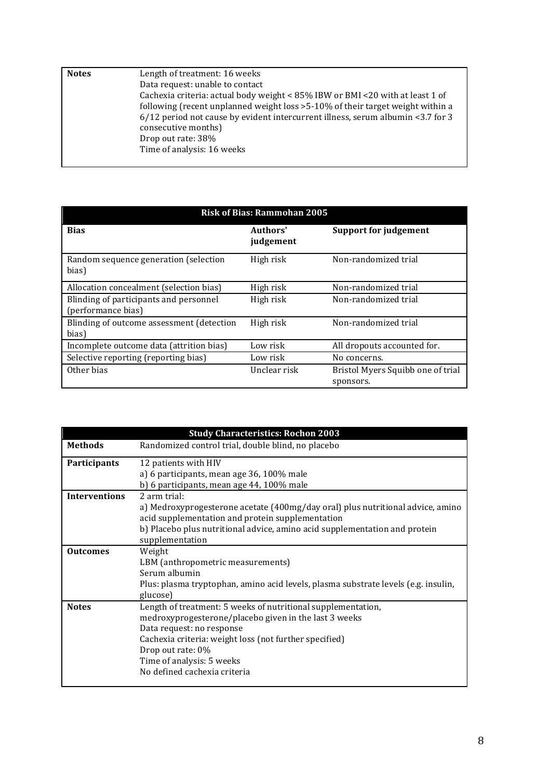| <b>Notes</b> | Length of treatment: 16 weeks                                                     |
|--------------|-----------------------------------------------------------------------------------|
|              | Data request: unable to contact                                                   |
|              | Cachexia criteria: actual body weight < 85% IBW or BMI <20 with at least 1 of     |
|              | following (recent unplanned weight loss > 5-10% of their target weight within a   |
|              | $6/12$ period not cause by evident intercurrent illness, serum albumin <3.7 for 3 |
|              | consecutive months)                                                               |
|              | Drop out rate: 38%                                                                |
|              | Time of analysis: 16 weeks                                                        |
|              |                                                                                   |

| <b>Risk of Bias: Rammohan 2005</b>                           |                       |                                                |  |
|--------------------------------------------------------------|-----------------------|------------------------------------------------|--|
| <b>Bias</b>                                                  | Authors'<br>judgement | <b>Support for judgement</b>                   |  |
| Random sequence generation (selection<br>bias)               | High risk             | Non-randomized trial                           |  |
| Allocation concealment (selection bias)                      | High risk             | Non-randomized trial                           |  |
| Blinding of participants and personnel<br>(performance bias) | High risk             | Non-randomized trial                           |  |
| Blinding of outcome assessment (detection<br>bias)           | High risk             | Non-randomized trial                           |  |
| Incomplete outcome data (attrition bias)                     | Low risk              | All dropouts accounted for.                    |  |
| Selective reporting (reporting bias)                         | Low risk              | No concerns.                                   |  |
| Other bias                                                   | Unclear risk          | Bristol Myers Squibb one of trial<br>sponsors. |  |

| <b>Study Characteristics: Rochon 2003</b> |                                                                                    |  |  |
|-------------------------------------------|------------------------------------------------------------------------------------|--|--|
| <b>Methods</b>                            | Randomized control trial, double blind, no placebo                                 |  |  |
| Participants                              | 12 patients with HIV                                                               |  |  |
|                                           | a) 6 participants, mean age 36, 100% male                                          |  |  |
|                                           | b) 6 participants, mean age 44, 100% male                                          |  |  |
| <b>Interventions</b>                      | 2 arm trial:                                                                       |  |  |
|                                           | a) Medroxyprogesterone acetate (400mg/day oral) plus nutritional advice, amino     |  |  |
|                                           | acid supplementation and protein supplementation                                   |  |  |
|                                           | b) Placebo plus nutritional advice, amino acid supplementation and protein         |  |  |
|                                           | supplementation                                                                    |  |  |
| <b>Outcomes</b>                           | Weight                                                                             |  |  |
|                                           | LBM (anthropometric measurements)                                                  |  |  |
|                                           | Serum albumin                                                                      |  |  |
|                                           | Plus: plasma tryptophan, amino acid levels, plasma substrate levels (e.g. insulin, |  |  |
|                                           | glucose)                                                                           |  |  |
| <b>Notes</b>                              | Length of treatment: 5 weeks of nutritional supplementation,                       |  |  |
|                                           | medroxyprogesterone/placebo given in the last 3 weeks                              |  |  |
|                                           | Data request: no response                                                          |  |  |
|                                           | Cachexia criteria: weight loss (not further specified)                             |  |  |
|                                           | Drop out rate: 0%                                                                  |  |  |
|                                           | Time of analysis: 5 weeks                                                          |  |  |
|                                           | No defined cachexia criteria                                                       |  |  |
|                                           |                                                                                    |  |  |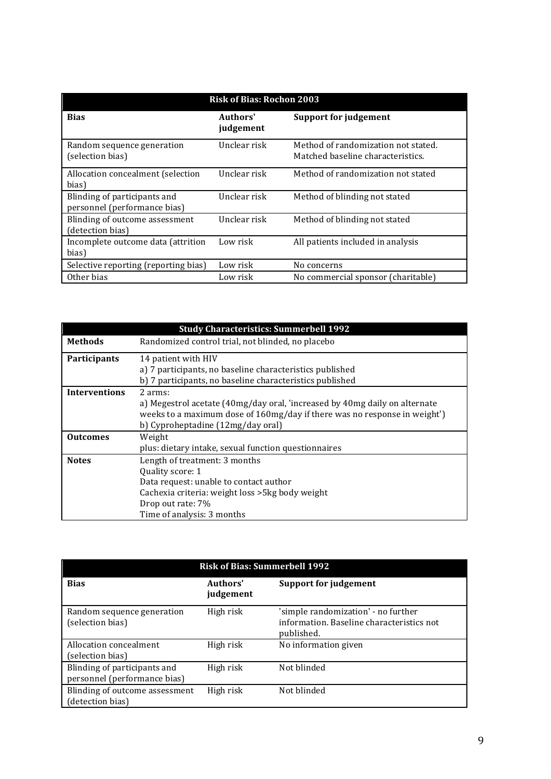| <b>Risk of Bias: Rochon 2003</b>                             |                       |                                                                          |  |
|--------------------------------------------------------------|-----------------------|--------------------------------------------------------------------------|--|
| <b>Bias</b>                                                  | Authors'<br>judgement | Support for judgement                                                    |  |
| Random sequence generation<br>(selection bias)               | Unclear risk          | Method of randomization not stated.<br>Matched baseline characteristics. |  |
| Allocation concealment (selection<br>bias)                   | Unclear risk          | Method of randomization not stated                                       |  |
| Blinding of participants and<br>personnel (performance bias) | Unclear risk          | Method of blinding not stated                                            |  |
| Blinding of outcome assessment<br>(detection bias)           | Unclear risk          | Method of blinding not stated                                            |  |
| Incomplete outcome data (attrition<br>bias)                  | Low risk              | All patients included in analysis                                        |  |
| Selective reporting (reporting bias)                         | Low risk              | No concerns                                                              |  |
| Other bias                                                   | Low risk              | No commercial sponsor (charitable)                                       |  |

|                      | <b>Study Characteristics: Summerbell 1992</b>                                                                                                                                                           |  |
|----------------------|---------------------------------------------------------------------------------------------------------------------------------------------------------------------------------------------------------|--|
| <b>Methods</b>       | Randomized control trial, not blinded, no placebo                                                                                                                                                       |  |
| Participants         | 14 patient with HIV<br>a) 7 participants, no baseline characteristics published<br>b) 7 participants, no baseline characteristics published                                                             |  |
| <b>Interventions</b> | 2 arms:<br>a) Megestrol acetate (40mg/day oral, 'increased by 40mg daily on alternate<br>weeks to a maximum dose of 160mg/day if there was no response in weight')<br>b) Cyproheptadine (12mg/day oral) |  |
| <b>Outcomes</b>      | Weight<br>plus: dietary intake, sexual function questionnaires                                                                                                                                          |  |
| <b>Notes</b>         | Length of treatment: 3 months<br>Quality score: 1<br>Data request: unable to contact author<br>Cachexia criteria: weight loss > 5kg body weight<br>Drop out rate: 7%<br>Time of analysis: 3 months      |  |

| <b>Risk of Bias: Summerbell 1992</b>                         |                       |                                                                                                |  |
|--------------------------------------------------------------|-----------------------|------------------------------------------------------------------------------------------------|--|
| <b>Bias</b>                                                  | Authors'<br>judgement | <b>Support for judgement</b>                                                                   |  |
| Random sequence generation<br>(selection bias)               | High risk             | 'simple randomization' - no further<br>information. Baseline characteristics not<br>published. |  |
| Allocation concealment<br>(selection bias)                   | High risk             | No information given                                                                           |  |
| Blinding of participants and<br>personnel (performance bias) | High risk             | Not blinded                                                                                    |  |
| Blinding of outcome assessment<br>(detection bias)           | High risk             | Not blinded                                                                                    |  |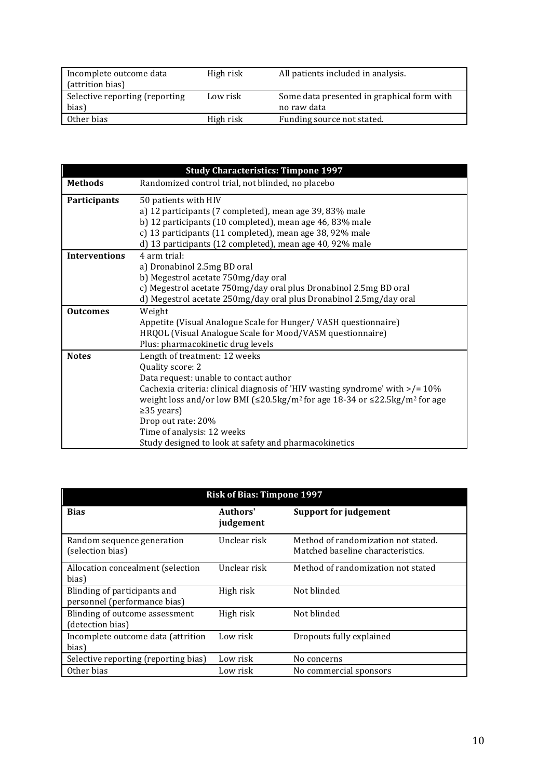| Incomplete outcome data<br>(attrition bias) | High risk | All patients included in analysis.                        |
|---------------------------------------------|-----------|-----------------------------------------------------------|
| Selective reporting (reporting<br>bias)     | Low risk  | Some data presented in graphical form with<br>no raw data |
| Other bias                                  | High risk | Funding source not stated.                                |

| <b>Study Characteristics: Timpone 1997</b> |                                                                                                    |  |  |
|--------------------------------------------|----------------------------------------------------------------------------------------------------|--|--|
| <b>Methods</b>                             | Randomized control trial, not blinded, no placebo                                                  |  |  |
| Participants                               | 50 patients with HIV                                                                               |  |  |
|                                            | a) 12 participants (7 completed), mean age 39, 83% male                                            |  |  |
|                                            | b) 12 participants (10 completed), mean age 46, 83% male                                           |  |  |
|                                            | c) 13 participants (11 completed), mean age 38, 92% male                                           |  |  |
|                                            | d) 13 participants (12 completed), mean age 40, 92% male                                           |  |  |
| <b>Interventions</b>                       | 4 arm trial:                                                                                       |  |  |
|                                            | a) Dronabinol 2.5mg BD oral                                                                        |  |  |
|                                            | b) Megestrol acetate 750mg/day oral                                                                |  |  |
|                                            | c) Megestrol acetate 750mg/day oral plus Dronabinol 2.5mg BD oral                                  |  |  |
|                                            | d) Megestrol acetate 250mg/day oral plus Dronabinol 2.5mg/day oral                                 |  |  |
| <b>Outcomes</b>                            | Weight                                                                                             |  |  |
|                                            | Appetite (Visual Analogue Scale for Hunger/ VASH questionnaire)                                    |  |  |
|                                            | HRQOL (Visual Analogue Scale for Mood/VASM questionnaire)                                          |  |  |
|                                            | Plus: pharmacokinetic drug levels                                                                  |  |  |
| <b>Notes</b>                               | Length of treatment: 12 weeks                                                                      |  |  |
|                                            | Quality score: 2                                                                                   |  |  |
|                                            | Data request: unable to contact author                                                             |  |  |
|                                            | Cachexia criteria: clinical diagnosis of 'HIV wasting syndrome' with $\ge$ /= 10%                  |  |  |
|                                            | weight loss and/or low BMI (≤20.5kg/m <sup>2</sup> for age 18-34 or ≤22.5kg/m <sup>2</sup> for age |  |  |
|                                            | $\geq$ 35 years)                                                                                   |  |  |
|                                            | Drop out rate: 20%                                                                                 |  |  |
|                                            | Time of analysis: 12 weeks                                                                         |  |  |
|                                            | Study designed to look at safety and pharmacokinetics                                              |  |  |

| <b>Risk of Bias: Timpone 1997</b>                            |                       |                                                                          |  |
|--------------------------------------------------------------|-----------------------|--------------------------------------------------------------------------|--|
| <b>Bias</b>                                                  | Authors'<br>judgement | <b>Support for judgement</b>                                             |  |
| Random sequence generation<br>(selection bias)               | Unclear risk          | Method of randomization not stated.<br>Matched baseline characteristics. |  |
| Allocation concealment (selection<br>bias)                   | Unclear risk          | Method of randomization not stated                                       |  |
| Blinding of participants and<br>personnel (performance bias) | High risk             | Not blinded                                                              |  |
| Blinding of outcome assessment<br>(detection bias)           | High risk             | Not blinded                                                              |  |
| Incomplete outcome data (attrition<br>bias)                  | Low risk              | Dropouts fully explained                                                 |  |
| Selective reporting (reporting bias)                         | Low risk              | No concerns                                                              |  |
| Other bias                                                   | Low risk              | No commercial sponsors                                                   |  |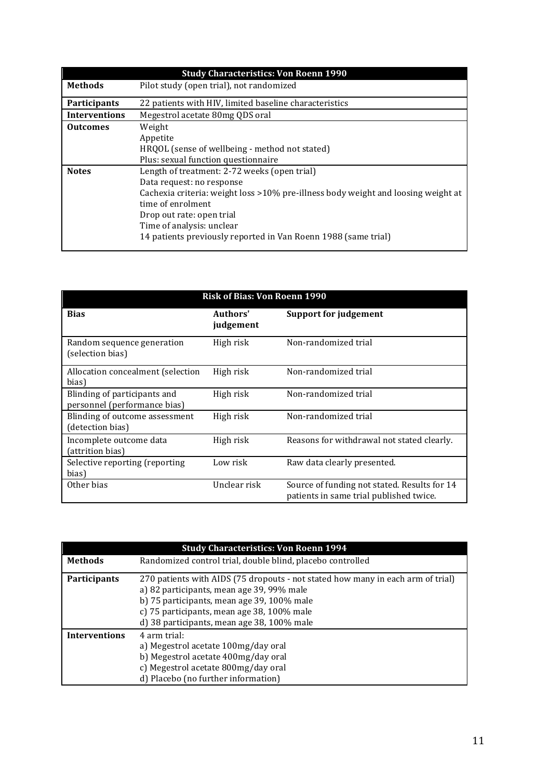|                      | <b>Study Characteristics: Von Roenn 1990</b>                                      |  |  |
|----------------------|-----------------------------------------------------------------------------------|--|--|
| <b>Methods</b>       | Pilot study (open trial), not randomized                                          |  |  |
| <b>Participants</b>  | 22 patients with HIV, limited baseline characteristics                            |  |  |
| <b>Interventions</b> | Megestrol acetate 80mg QDS oral                                                   |  |  |
| <b>Outcomes</b>      | Weight                                                                            |  |  |
|                      | Appetite                                                                          |  |  |
|                      | HRQOL (sense of wellbeing - method not stated)                                    |  |  |
|                      | Plus: sexual function questionnaire                                               |  |  |
| <b>Notes</b>         | Length of treatment: 2-72 weeks (open trial)                                      |  |  |
|                      | Data request: no response                                                         |  |  |
|                      | Cachexia criteria: weight loss >10% pre-illness body weight and loosing weight at |  |  |
|                      | time of enrolment                                                                 |  |  |
|                      | Drop out rate: open trial                                                         |  |  |
|                      | Time of analysis: unclear                                                         |  |  |
|                      | 14 patients previously reported in Van Roenn 1988 (same trial)                    |  |  |

| <b>Risk of Bias: Von Roenn 1990</b>                          |                       |                                                                                         |  |
|--------------------------------------------------------------|-----------------------|-----------------------------------------------------------------------------------------|--|
| <b>Bias</b>                                                  | Authors'<br>judgement | <b>Support for judgement</b>                                                            |  |
| Random sequence generation<br>(selection bias)               | High risk             | Non-randomized trial                                                                    |  |
| Allocation concealment (selection<br>bias)                   | High risk             | Non-randomized trial                                                                    |  |
| Blinding of participants and<br>personnel (performance bias) | High risk             | Non-randomized trial                                                                    |  |
| Blinding of outcome assessment<br>(detection bias)           | High risk             | Non-randomized trial                                                                    |  |
| Incomplete outcome data<br>(attrition bias)                  | High risk             | Reasons for withdrawal not stated clearly.                                              |  |
| Selective reporting (reporting<br>bias)                      | Low risk              | Raw data clearly presented.                                                             |  |
| Other bias                                                   | Unclear risk          | Source of funding not stated. Results for 14<br>patients in same trial published twice. |  |

|                      | <b>Study Characteristics: Von Roenn 1994</b>                                                                                                                                                                                                                           |
|----------------------|------------------------------------------------------------------------------------------------------------------------------------------------------------------------------------------------------------------------------------------------------------------------|
| <b>Methods</b>       | Randomized control trial, double blind, placebo controlled                                                                                                                                                                                                             |
| Participants         | 270 patients with AIDS (75 dropouts - not stated how many in each arm of trial)<br>a) 82 participants, mean age 39, 99% male<br>b) 75 participants, mean age 39, 100% male<br>c) 75 participants, mean age 38, 100% male<br>d) 38 participants, mean age 38, 100% male |
| <b>Interventions</b> | 4 arm trial:<br>a) Megestrol acetate 100mg/day oral<br>b) Megestrol acetate 400mg/day oral<br>c) Megestrol acetate 800mg/day oral<br>d) Placebo (no further information)                                                                                               |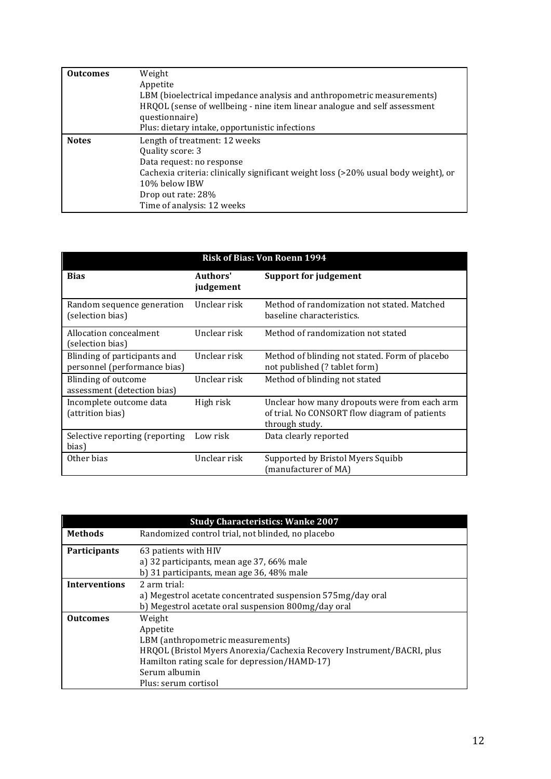| <b>Outcomes</b> | Weight                                                                             |
|-----------------|------------------------------------------------------------------------------------|
|                 | Appetite                                                                           |
|                 | LBM (bioelectrical impedance analysis and anthropometric measurements)             |
|                 | HRQOL (sense of wellbeing - nine item linear analogue and self assessment          |
|                 | questionnaire)                                                                     |
|                 | Plus: dietary intake, opportunistic infections                                     |
| <b>Notes</b>    | Length of treatment: 12 weeks                                                      |
|                 | Quality score: 3                                                                   |
|                 | Data request: no response                                                          |
|                 | Cachexia criteria: clinically significant weight loss (>20% usual body weight), or |
|                 | 10% below IBW                                                                      |
|                 | Drop out rate: 28%                                                                 |
|                 | Time of analysis: 12 weeks                                                         |

| <b>Risk of Bias: Von Roenn 1994</b>                          |                       |                                                                                                                 |  |
|--------------------------------------------------------------|-----------------------|-----------------------------------------------------------------------------------------------------------------|--|
| <b>Bias</b>                                                  | Authors'<br>judgement | Support for judgement                                                                                           |  |
| Random sequence generation<br>(selection bias)               | Unclear risk          | Method of randomization not stated. Matched<br>baseline characteristics.                                        |  |
| Allocation concealment<br>(selection bias)                   | Unclear risk          | Method of randomization not stated                                                                              |  |
| Blinding of participants and<br>personnel (performance bias) | Unclear risk          | Method of blinding not stated. Form of placebo<br>not published (? tablet form)                                 |  |
| Blinding of outcome<br>assessment (detection bias)           | Unclear risk          | Method of blinding not stated                                                                                   |  |
| Incomplete outcome data<br>(attrition bias)                  | High risk             | Unclear how many dropouts were from each arm<br>of trial. No CONSORT flow diagram of patients<br>through study. |  |
| Selective reporting (reporting<br>bias)                      | Low risk              | Data clearly reported                                                                                           |  |
| Other bias                                                   | Unclear risk          | Supported by Bristol Myers Squibb<br>(manufacturer of MA)                                                       |  |

| <b>Study Characteristics: Wanke 2007</b> |                                                                        |  |  |  |
|------------------------------------------|------------------------------------------------------------------------|--|--|--|
| <b>Methods</b>                           | Randomized control trial, not blinded, no placebo                      |  |  |  |
| <b>Participants</b>                      | 63 patients with HIV                                                   |  |  |  |
|                                          | a) 32 participants, mean age 37, 66% male                              |  |  |  |
|                                          | b) 31 participants, mean age 36, 48% male                              |  |  |  |
| <b>Interventions</b>                     | 2 arm trial:                                                           |  |  |  |
|                                          | a) Megestrol acetate concentrated suspension 575mg/day oral            |  |  |  |
|                                          | b) Megestrol acetate oral suspension 800mg/day oral                    |  |  |  |
| <b>Outcomes</b>                          | Weight                                                                 |  |  |  |
|                                          | Appetite                                                               |  |  |  |
|                                          | LBM (anthropometric measurements)                                      |  |  |  |
|                                          | HRQOL (Bristol Myers Anorexia/Cachexia Recovery Instrument/BACRI, plus |  |  |  |
|                                          | Hamilton rating scale for depression/HAMD-17)                          |  |  |  |
|                                          | Serum albumin                                                          |  |  |  |
|                                          | Plus: serum cortisol                                                   |  |  |  |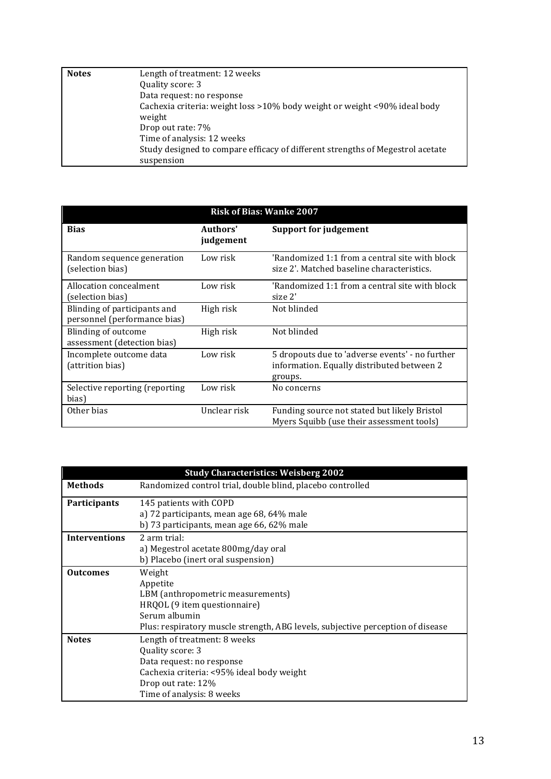| <b>Notes</b> | Length of treatment: 12 weeks                                                  |
|--------------|--------------------------------------------------------------------------------|
|              |                                                                                |
|              | Quality score: 3                                                               |
|              | Data request: no response                                                      |
|              | Cachexia criteria: weight loss >10% body weight or weight <90% ideal body      |
|              | weight                                                                         |
|              | Drop out rate: 7%                                                              |
|              | Time of analysis: 12 weeks                                                     |
|              | Study designed to compare efficacy of different strengths of Megestrol acetate |
|              | suspension                                                                     |

| <b>Risk of Bias: Wanke 2007</b>                              |                       |                                                                                                          |  |
|--------------------------------------------------------------|-----------------------|----------------------------------------------------------------------------------------------------------|--|
| <b>Bias</b>                                                  | Authors'<br>judgement | Support for judgement                                                                                    |  |
| Random sequence generation<br>(selection bias)               | Low risk              | 'Randomized 1:1 from a central site with block<br>size 2'. Matched baseline characteristics.             |  |
| Allocation concealment<br>(selection bias)                   | Low risk              | 'Randomized 1:1 from a central site with block<br>size 2'                                                |  |
| Blinding of participants and<br>personnel (performance bias) | High risk             | Not blinded                                                                                              |  |
| Blinding of outcome<br>assessment (detection bias)           | High risk             | Not blinded                                                                                              |  |
| Incomplete outcome data<br>(attrition bias)                  | Low risk              | 5 dropouts due to 'adverse events' - no further<br>information. Equally distributed between 2<br>groups. |  |
| Selective reporting (reporting)<br>bias)                     | Low risk              | No concerns                                                                                              |  |
| Other bias                                                   | Unclear risk          | Funding source not stated but likely Bristol<br>Myers Squibb (use their assessment tools)                |  |

| <b>Study Characteristics: Weisberg 2002</b> |                                                                                 |  |  |  |
|---------------------------------------------|---------------------------------------------------------------------------------|--|--|--|
| <b>Methods</b>                              | Randomized control trial, double blind, placebo controlled                      |  |  |  |
| <b>Participants</b>                         | 145 patients with COPD                                                          |  |  |  |
|                                             | a) 72 participants, mean age 68, 64% male                                       |  |  |  |
|                                             | b) 73 participants, mean age 66, 62% male                                       |  |  |  |
| <b>Interventions</b>                        | 2 arm trial:                                                                    |  |  |  |
|                                             | a) Megestrol acetate 800mg/day oral                                             |  |  |  |
|                                             | b) Placebo (inert oral suspension)                                              |  |  |  |
| <b>Outcomes</b>                             | Weight                                                                          |  |  |  |
|                                             | Appetite                                                                        |  |  |  |
|                                             | LBM (anthropometric measurements)                                               |  |  |  |
|                                             | HRQOL (9 item questionnaire)                                                    |  |  |  |
|                                             | Serum albumin                                                                   |  |  |  |
|                                             | Plus: respiratory muscle strength, ABG levels, subjective perception of disease |  |  |  |
| <b>Notes</b>                                | Length of treatment: 8 weeks                                                    |  |  |  |
|                                             | Quality score: 3                                                                |  |  |  |
|                                             | Data request: no response                                                       |  |  |  |
|                                             | Cachexia criteria: <95% ideal body weight                                       |  |  |  |
|                                             | Drop out rate: 12%                                                              |  |  |  |
|                                             | Time of analysis: 8 weeks                                                       |  |  |  |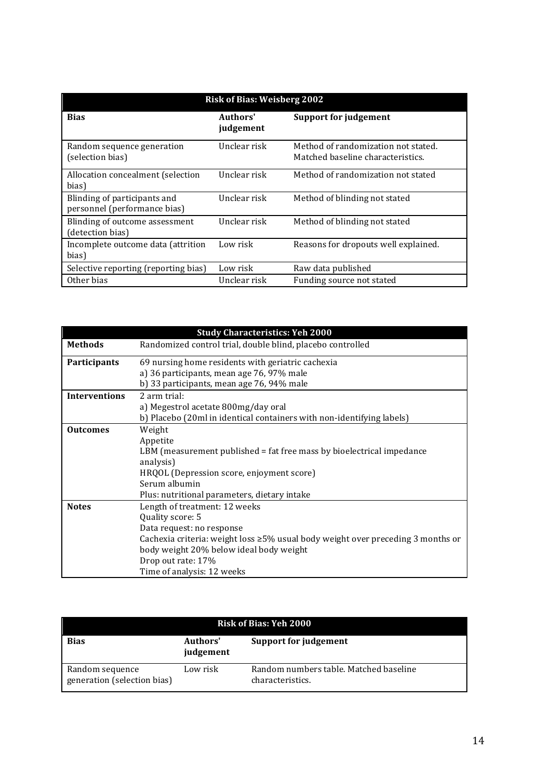| <b>Risk of Bias: Weisberg 2002</b>                           |                       |                                                                          |  |
|--------------------------------------------------------------|-----------------------|--------------------------------------------------------------------------|--|
| <b>Bias</b>                                                  | Authors'<br>judgement | <b>Support for judgement</b>                                             |  |
| Random sequence generation<br>(selection bias)               | Unclear risk          | Method of randomization not stated.<br>Matched baseline characteristics. |  |
| Allocation concealment (selection<br>bias)                   | Unclear risk          | Method of randomization not stated                                       |  |
| Blinding of participants and<br>personnel (performance bias) | Unclear risk          | Method of blinding not stated                                            |  |
| Blinding of outcome assessment<br>(detection bias)           | Unclear risk          | Method of blinding not stated                                            |  |
| Incomplete outcome data (attrition<br>bias)                  | Low risk              | Reasons for dropouts well explained.                                     |  |
| Selective reporting (reporting bias)                         | Low risk              | Raw data published                                                       |  |
| Other bias                                                   | Unclear risk          | Funding source not stated                                                |  |

| <b>Study Characteristics: Yeh 2000</b> |                                                                                 |  |  |  |
|----------------------------------------|---------------------------------------------------------------------------------|--|--|--|
| <b>Methods</b>                         | Randomized control trial, double blind, placebo controlled                      |  |  |  |
| Participants                           | 69 nursing home residents with geriatric cachexia                               |  |  |  |
|                                        | a) 36 participants, mean age 76, 97% male                                       |  |  |  |
|                                        | b) 33 participants, mean age 76, 94% male                                       |  |  |  |
| <b>Interventions</b>                   | 2 arm trial:                                                                    |  |  |  |
|                                        | a) Megestrol acetate 800mg/day oral                                             |  |  |  |
|                                        | b) Placebo (20ml in identical containers with non-identifying labels)           |  |  |  |
| <b>Outcomes</b>                        | Weight                                                                          |  |  |  |
|                                        | Appetite                                                                        |  |  |  |
|                                        | LBM (measurement published $=$ fat free mass by bioelectrical impedance         |  |  |  |
|                                        | analysis)                                                                       |  |  |  |
|                                        | HRQOL (Depression score, enjoyment score)                                       |  |  |  |
|                                        | Serum albumin                                                                   |  |  |  |
|                                        | Plus: nutritional parameters, dietary intake                                    |  |  |  |
| <b>Notes</b>                           | Length of treatment: 12 weeks                                                   |  |  |  |
|                                        | Quality score: 5                                                                |  |  |  |
|                                        | Data request: no response                                                       |  |  |  |
|                                        | Cachexia criteria: weight loss ≥5% usual body weight over preceding 3 months or |  |  |  |
|                                        | body weight 20% below ideal body weight                                         |  |  |  |
|                                        | Drop out rate: 17%                                                              |  |  |  |
|                                        | Time of analysis: 12 weeks                                                      |  |  |  |

| <b>Risk of Bias: Yeh 2000</b>                  |                       |                                                            |  |
|------------------------------------------------|-----------------------|------------------------------------------------------------|--|
| <b>Bias</b>                                    | Authors'<br>judgement | Support for judgement                                      |  |
| Random sequence<br>generation (selection bias) | Low risk              | Random numbers table. Matched baseline<br>characteristics. |  |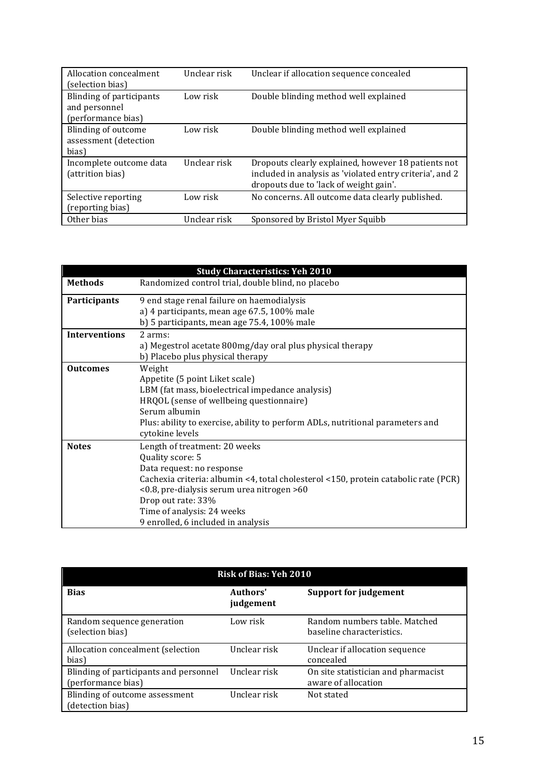| Allocation concealment<br>(selection bias)                             | Unclear risk | Unclear if allocation sequence concealed                                                                                                                  |
|------------------------------------------------------------------------|--------------|-----------------------------------------------------------------------------------------------------------------------------------------------------------|
| <b>Blinding of participants</b><br>and personnel<br>(performance bias) | Low risk     | Double blinding method well explained                                                                                                                     |
| Blinding of outcome<br>assessment (detection<br>bias)                  | Low risk     | Double blinding method well explained                                                                                                                     |
| Incomplete outcome data<br>(attrition bias)                            | Unclear risk | Dropouts clearly explained, however 18 patients not<br>included in analysis as 'violated entry criteria', and 2<br>dropouts due to 'lack of weight gain'. |
| Selective reporting<br>(reporting bias)                                | Low risk     | No concerns. All outcome data clearly published.                                                                                                          |
| Other bias                                                             | Unclear risk | Sponsored by Bristol Myer Squibb                                                                                                                          |

| <b>Study Characteristics: Yeh 2010</b> |                                                                                                                                                                                                                                                                                                               |  |  |
|----------------------------------------|---------------------------------------------------------------------------------------------------------------------------------------------------------------------------------------------------------------------------------------------------------------------------------------------------------------|--|--|
| <b>Methods</b>                         | Randomized control trial, double blind, no placebo                                                                                                                                                                                                                                                            |  |  |
| <b>Participants</b>                    | 9 end stage renal failure on haemodialysis<br>a) 4 participants, mean age 67.5, 100% male<br>b) 5 participants, mean age 75.4, 100% male                                                                                                                                                                      |  |  |
| <b>Interventions</b>                   | $2 \text{ arms}$<br>a) Megestrol acetate 800mg/day oral plus physical therapy<br>b) Placebo plus physical therapy                                                                                                                                                                                             |  |  |
| <b>Outcomes</b>                        | Weight<br>Appetite (5 point Liket scale)<br>LBM (fat mass, bioelectrical impedance analysis)<br>HRQOL (sense of wellbeing questionnaire)<br>Serum albumin<br>Plus: ability to exercise, ability to perform ADLs, nutritional parameters and<br>cytokine levels                                                |  |  |
| <b>Notes</b>                           | Length of treatment: 20 weeks<br>Quality score: 5<br>Data request: no response<br>Cachexia criteria: albumin <4, total cholesterol <150, protein catabolic rate (PCR)<br><0.8, pre-dialysis serum urea nitrogen >60<br>Drop out rate: 33%<br>Time of analysis: 24 weeks<br>9 enrolled, 6 included in analysis |  |  |

| <b>Risk of Bias: Yeh 2010</b>                                |                       |                                                            |  |
|--------------------------------------------------------------|-----------------------|------------------------------------------------------------|--|
| <b>Bias</b>                                                  | Authors'<br>judgement | <b>Support for judgement</b>                               |  |
| Random sequence generation<br>(selection bias)               | Low risk              | Random numbers table. Matched<br>baseline characteristics. |  |
| Allocation concealment (selection<br>bias)                   | Unclear risk          | Unclear if allocation sequence<br>concealed                |  |
| Blinding of participants and personnel<br>(performance bias) | Unclear risk          | On site statistician and pharmacist<br>aware of allocation |  |
| Blinding of outcome assessment<br>(detection bias)           | Unclear risk          | Not stated                                                 |  |